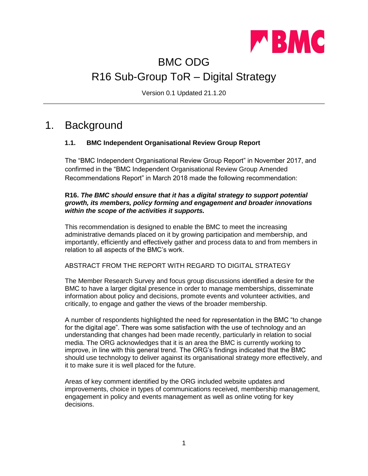

# BMC ODG R16 Sub-Group ToR – Digital Strategy

Version 0.1 Updated 21.1.20

### 1. Background

#### **1.1. BMC Independent Organisational Review Group Report**

The "BMC Independent Organisational Review Group Report" in November 2017, and confirmed in the "BMC Independent Organisational Review Group Amended Recommendations Report" in March 2018 made the following recommendation:

#### **R16.** *The BMC should ensure that it has a digital strategy to support potential growth, its members, policy forming and engagement and broader innovations within the scope of the activities it supports.*

This recommendation is designed to enable the BMC to meet the increasing administrative demands placed on it by growing participation and membership, and importantly, efficiently and effectively gather and process data to and from members in relation to all aspects of the BMC's work.

#### ABSTRACT FROM THE REPORT WITH REGARD TO DIGITAL STRATEGY

The Member Research Survey and focus group discussions identified a desire for the BMC to have a larger digital presence in order to manage memberships, disseminate information about policy and decisions, promote events and volunteer activities, and critically, to engage and gather the views of the broader membership.

A number of respondents highlighted the need for representation in the BMC "to change for the digital age". There was some satisfaction with the use of technology and an understanding that changes had been made recently, particularly in relation to social media. The ORG acknowledges that it is an area the BMC is currently working to improve, in line with this general trend. The ORG's findings indicated that the BMC should use technology to deliver against its organisational strategy more effectively, and it to make sure it is well placed for the future.

Areas of key comment identified by the ORG included website updates and improvements, choice in types of communications received, membership management, engagement in policy and events management as well as online voting for key decisions.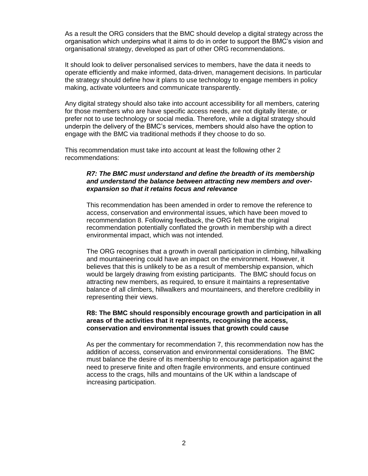As a result the ORG considers that the BMC should develop a digital strategy across the organisation which underpins what it aims to do in order to support the BMC's vision and organisational strategy, developed as part of other ORG recommendations.

It should look to deliver personalised services to members, have the data it needs to operate efficiently and make informed, data-driven, management decisions. In particular the strategy should define how it plans to use technology to engage members in policy making, activate volunteers and communicate transparently.

Any digital strategy should also take into account accessibility for all members, catering for those members who are have specific access needs, are not digitally literate, or prefer not to use technology or social media. Therefore, while a digital strategy should underpin the delivery of the BMC's services, members should also have the option to engage with the BMC via traditional methods if they choose to do so.

This recommendation must take into account at least the following other 2 recommendations:

#### *R7: The BMC must understand and define the breadth of its membership and understand the balance between attracting new members and overexpansion so that it retains focus and relevance*

This recommendation has been amended in order to remove the reference to access, conservation and environmental issues, which have been moved to recommendation 8. Following feedback, the ORG felt that the original recommendation potentially conflated the growth in membership with a direct environmental impact, which was not intended.

The ORG recognises that a growth in overall participation in climbing, hillwalking and mountaineering could have an impact on the environment. However, it believes that this is unlikely to be as a result of membership expansion, which would be largely drawing from existing participants. The BMC should focus on attracting new members, as required, to ensure it maintains a representative balance of all climbers, hillwalkers and mountaineers, and therefore credibility in representing their views.

#### **R8: The BMC should responsibly encourage growth and participation in all areas of the activities that it represents, recognising the access, conservation and environmental issues that growth could cause**

As per the commentary for recommendation 7, this recommendation now has the addition of access, conservation and environmental considerations. The BMC must balance the desire of its membership to encourage participation against the need to preserve finite and often fragile environments, and ensure continued access to the crags, hills and mountains of the UK within a landscape of increasing participation.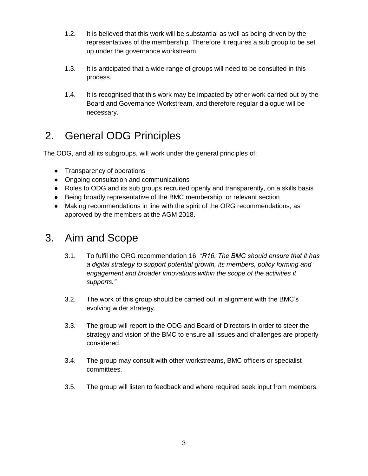- 1.2. It is believed that this work will be substantial as well as being driven by the representatives of the membership. Therefore it requires a sub group to be set up under the governance workstream.
- 1.3. It is anticipated that a wide range of groups will need to be consulted in this process.
- 1.4. It is recognised that this work may be impacted by other work carried out by the Board and Governance Workstream, and therefore regular dialogue will be necessary.

# 2. General ODG Principles

The ODG, and all its subgroups, will work under the general principles of:

- Transparency of operations
- Ongoing consultation and communications
- Roles to ODG and its sub groups recruited openly and transparently, on a skills basis
- Being broadly representative of the BMC membership, or relevant section
- Making recommendations in line with the spirit of the ORG recommendations, as approved by the members at the AGM 2018.

### 3. Aim and Scope

- 3.1. To fulfil the ORG recommendation 16: *"R16. The BMC should ensure that it has a digital strategy to support potential growth, its members, policy forming and engagement and broader innovations within the scope of the activities it supports."*
- 3.2. The work of this group should be carried out in alignment with the BMC's evolving wider strategy.
- 3.3. The group will report to the ODG and Board of Directors in order to steer the strategy and vision of the BMC to ensure all issues and challenges are properly considered.
- 3.4. The group may consult with other workstreams, BMC officers or specialist committees.
- 3.5. The group will listen to feedback and where required seek input from members.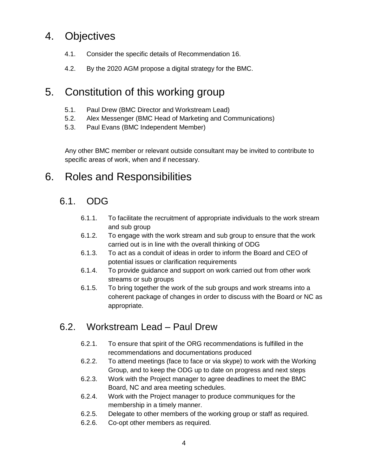# 4. Objectives

- 4.1. Consider the specific details of Recommendation 16.
- 4.2. By the 2020 AGM propose a digital strategy for the BMC.

## 5. Constitution of this working group

- 5.1. Paul Drew (BMC Director and Workstream Lead)
- 5.2. Alex Messenger (BMC Head of Marketing and Communications)
- 5.3. Paul Evans (BMC Independent Member)

Any other BMC member or relevant outside consultant may be invited to contribute to specific areas of work, when and if necessary.

## 6. Roles and Responsibilities

### 6.1. ODG

- 6.1.1. To facilitate the recruitment of appropriate individuals to the work stream and sub group
- 6.1.2. To engage with the work stream and sub group to ensure that the work carried out is in line with the overall thinking of ODG
- 6.1.3. To act as a conduit of ideas in order to inform the Board and CEO of potential issues or clarification requirements
- 6.1.4. To provide guidance and support on work carried out from other work streams or sub groups
- 6.1.5. To bring together the work of the sub groups and work streams into a coherent package of changes in order to discuss with the Board or NC as appropriate.

#### 6.2. Workstream Lead – Paul Drew

- 6.2.1. To ensure that spirit of the ORG recommendations is fulfilled in the recommendations and documentations produced
- 6.2.2. To attend meetings (face to face or via skype) to work with the Working Group, and to keep the ODG up to date on progress and next steps
- 6.2.3. Work with the Project manager to agree deadlines to meet the BMC Board, NC and area meeting schedules.
- 6.2.4. Work with the Project manager to produce communiques for the membership in a timely manner.
- 6.2.5. Delegate to other members of the working group or staff as required.
- 6.2.6. Co-opt other members as required.